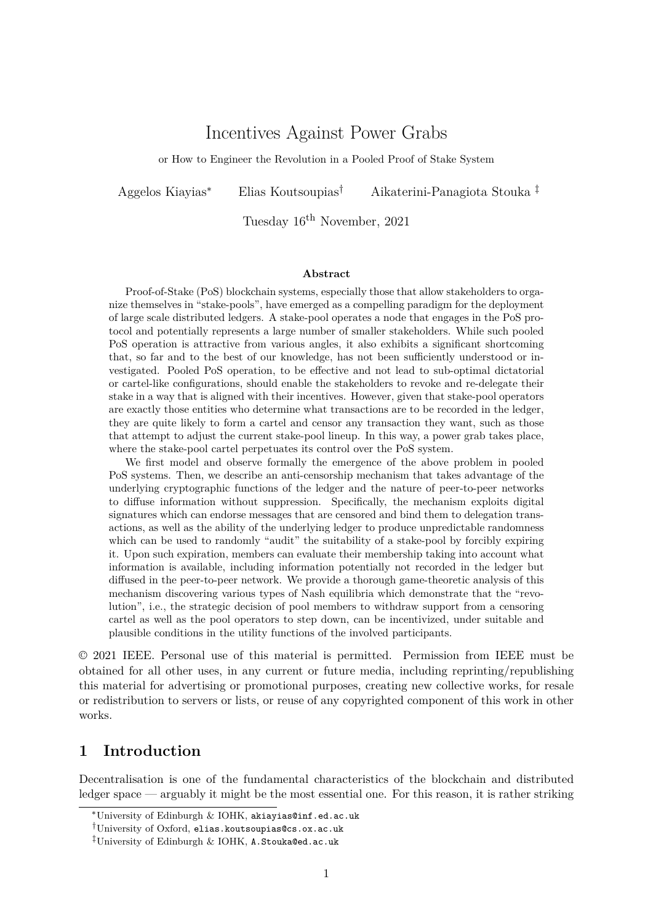# Incentives Against Power Grabs

or How to Engineer the Revolution in a Pooled Proof of Stake System

Aggelos Kiayias<sup>∗</sup> Elias Koutsoupias† Aikaterini-Panagiota Stouka ‡

Tuesday 16th November, 2021

#### **Abstract**

Proof-of-Stake (PoS) blockchain systems, especially those that allow stakeholders to organize themselves in "stake-pools", have emerged as a compelling paradigm for the deployment of large scale distributed ledgers. A stake-pool operates a node that engages in the PoS protocol and potentially represents a large number of smaller stakeholders. While such pooled PoS operation is attractive from various angles, it also exhibits a significant shortcoming that, so far and to the best of our knowledge, has not been sufficiently understood or investigated. Pooled PoS operation, to be effective and not lead to sub-optimal dictatorial or cartel-like configurations, should enable the stakeholders to revoke and re-delegate their stake in a way that is aligned with their incentives. However, given that stake-pool operators are exactly those entities who determine what transactions are to be recorded in the ledger, they are quite likely to form a cartel and censor any transaction they want, such as those that attempt to adjust the current stake-pool lineup. In this way, a power grab takes place, where the stake-pool cartel perpetuates its control over the PoS system.

We first model and observe formally the emergence of the above problem in pooled PoS systems. Then, we describe an anti-censorship mechanism that takes advantage of the underlying cryptographic functions of the ledger and the nature of peer-to-peer networks to diffuse information without suppression. Specifically, the mechanism exploits digital signatures which can endorse messages that are censored and bind them to delegation transactions, as well as the ability of the underlying ledger to produce unpredictable randomness which can be used to randomly "audit" the suitability of a stake-pool by forcibly expiring it. Upon such expiration, members can evaluate their membership taking into account what information is available, including information potentially not recorded in the ledger but diffused in the peer-to-peer network. We provide a thorough game-theoretic analysis of this mechanism discovering various types of Nash equilibria which demonstrate that the "revolution", i.e., the strategic decision of pool members to withdraw support from a censoring cartel as well as the pool operators to step down, can be incentivized, under suitable and plausible conditions in the utility functions of the involved participants.

© 2021 IEEE. Personal use of this material is permitted. Permission from IEEE must be obtained for all other uses, in any current or future media, including reprinting/republishing this material for advertising or promotional purposes, creating new collective works, for resale or redistribution to servers or lists, or reuse of any copyrighted component of this work in other works.

## **1 Introduction**

Decentralisation is one of the fundamental characteristics of the blockchain and distributed ledger space — arguably it might be the most essential one. For this reason, it is rather striking

<sup>∗</sup>University of Edinburgh & IOHK, akiayias@inf.ed.ac.uk

<sup>†</sup>University of Oxford, elias.koutsoupias@cs.ox.ac.uk

<sup>‡</sup>University of Edinburgh & IOHK, A.Stouka@ed.ac.uk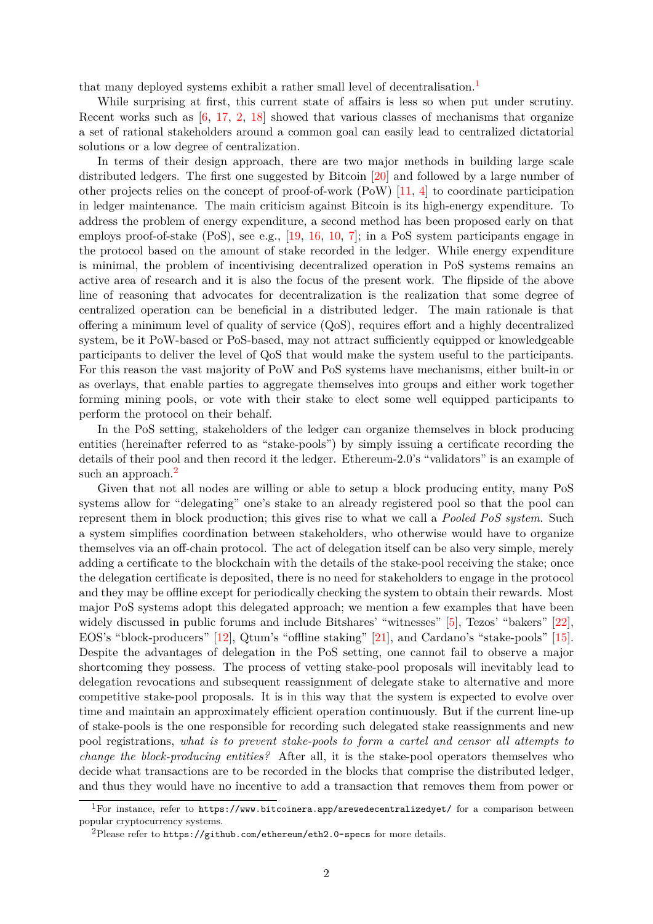that many deployed systems exhibit a rather small level of decentralisation.<sup>1</sup>

While surprising at first, this current state of affairs is less so when put under scrutiny. Recent works such as  $[6, 17, 2, 18]$  showed that various classes of mechanisms that organize a set of rational stakeholders around a common goal can easily lead to ce[nt](#page-1-0)ralized dictatorial solutions or a low degree of centralization.

In terms of their design approach, there are two major methods in building large scale distributed ledgers. Th[e](#page-15-0) [first](#page-15-1) [on](#page-15-2)[e su](#page-15-3)ggested by Bitcoin [20] and followed by a large number of other projects relies on the concept of proof-of-work (PoW) [11, 4] to coordinate participation in ledger maintenance. The main criticism against Bitcoin is its high-energy expenditure. To address the problem of energy expenditure, a second method has been proposed early on that employs proof-of-stake (PoS), see e.g., [19, 16, 10, 7]; i[n a](#page-16-0) PoS system participants engage in the protocol based on the amount of stake recorded in the l[edg](#page-15-4)[er](#page-15-5). While energy expenditure is minimal, the problem of incentivising decentralized operation in PoS systems remains an active area of research and it is also the focus of the present work. The flipside of the above line of reasoning that advocates for d[ece](#page-16-1)n[tra](#page-15-6)l[iza](#page-15-7)t[io](#page-15-8)n is the realization that some degree of centralized operation can be beneficial in a distributed ledger. The main rationale is that offering a minimum level of quality of service (QoS), requires effort and a highly decentralized system, be it PoW-based or PoS-based, may not attract sufficiently equipped or knowledgeable participants to deliver the level of QoS that would make the system useful to the participants. For this reason the vast majority of PoW and PoS systems have mechanisms, either built-in or as overlays, that enable parties to aggregate themselves into groups and either work together forming mining pools, or vote with their stake to elect some well equipped participants to perform the protocol on their behalf.

In the PoS setting, stakeholders of the ledger can organize themselves in block producing entities (hereinafter referred to as "stake-pools") by simply issuing a certificate recording the details of their pool and then record it the ledger. Ethereum-2.0's "validators" is an example of such an approach.<sup>2</sup>

Given that not all nodes are willing or able to setup a block producing entity, many PoS systems allow for "delegating" one's stake to an already registered pool so that the pool can represent them in [b](#page-1-1)lock production; this gives rise to what we call a *Pooled PoS system*. Such a system simplifies coordination between stakeholders, who otherwise would have to organize themselves via an off-chain protocol. The act of delegation itself can be also very simple, merely adding a certificate to the blockchain with the details of the stake-pool receiving the stake; once the delegation certificate is deposited, there is no need for stakeholders to engage in the protocol and they may be offline except for periodically checking the system to obtain their rewards. Most major PoS systems adopt this delegated approach; we mention a few examples that have been widely discussed in public forums and include Bitshares' "witnesses" [5], Tezos' "bakers" [22], EOS's "block-producers" [12], Qtum's "offline staking" [21], and Cardano's "stake-pools" [15]. Despite the advantages of delegation in the PoS setting, one cannot fail to observe a major shortcoming they possess. The process of vetting stake-pool proposals will inevitably lead to delegation revocations and subsequent reassignment of delegate stake [to](#page-15-9) alternative and [mor](#page-16-2)e competitive stake-pool pr[opo](#page-15-10)sals. It is in this way that [th](#page-16-3)e system is expected to evolve [ove](#page-15-11)r time and maintain an approximately efficient operation continuously. But if the current line-up of stake-pools is the one responsible for recording such delegated stake reassignments and new pool registrations, *what is to prevent stake-pools to form a cartel and censor all attempts to change the block-producing entities?* After all, it is the stake-pool operators themselves who decide what transactions are to be recorded in the blocks that comprise the distributed ledger, and thus they would have no incentive to add a transaction that removes them from power or

<sup>&</sup>lt;sup>1</sup>For instance, refer to https://www.bitcoinera.app/arewedecentralizedyet/ for a comparison between popular cryptocurrency systems.

<span id="page-1-1"></span><span id="page-1-0"></span><sup>&</sup>lt;sup>2</sup>Please refer to https://github.com/ethereum/eth2.0-specs for more details.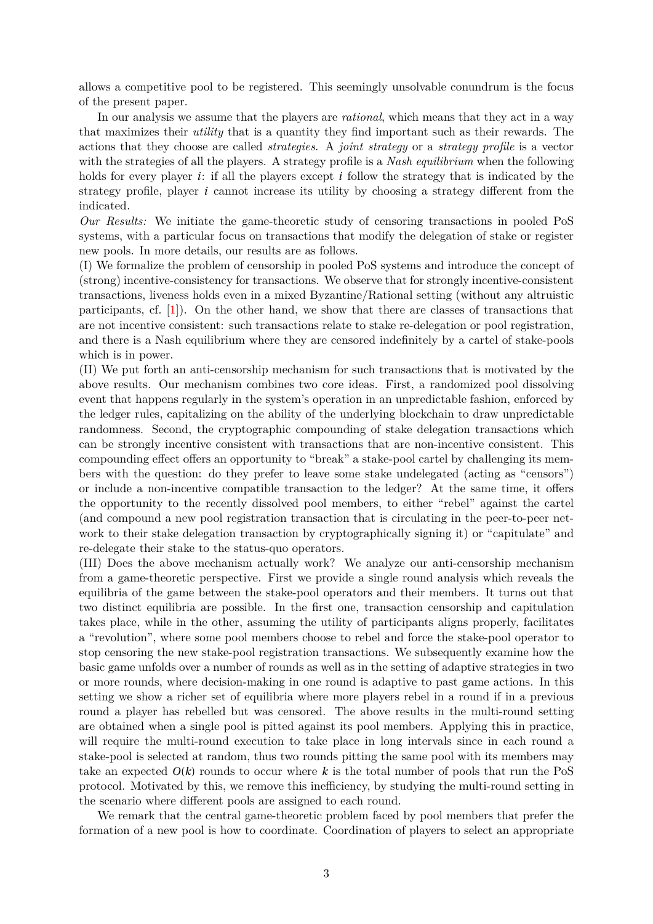allows a competitive pool to be registered. This seemingly unsolvable conundrum is the focus of the present paper.

In our analysis we assume that the players are *rational*, which means that they act in a way that maximizes their *utility* that is a quantity they find important such as their rewards. The actions that they choose are called *strategies*. A *joint strategy* or a *strategy profile* is a vector with the strategies of all the players. A strategy profile is a *Nash equilibrium* when the following holds for every player *i*: if all the players except *i* follow the strategy that is indicated by the strategy profile, player *i* cannot increase its utility by choosing a strategy different from the indicated.

*Our Results:* We initiate the game-theoretic study of censoring transactions in pooled PoS systems, with a particular focus on transactions that modify the delegation of stake or register new pools. In more details, our results are as follows.

(I) We formalize the problem of censorship in pooled PoS systems and introduce the concept of (strong) incentive-consistency for transactions. We observe that for strongly incentive-consistent transactions, liveness holds even in a mixed Byzantine/Rational setting (without any altruistic participants, cf.  $[1]$ ). On the other hand, we show that there are classes of transactions that are not incentive consistent: such transactions relate to stake re-delegation or pool registration, and there is a Nash equilibrium where they are censored indefinitely by a cartel of stake-pools which is in power.

(II) We put forth [a](#page-15-12)n anti-censorship mechanism for such transactions that is motivated by the above results. Our mechanism combines two core ideas. First, a randomized pool dissolving event that happens regularly in the system's operation in an unpredictable fashion, enforced by the ledger rules, capitalizing on the ability of the underlying blockchain to draw unpredictable randomness. Second, the cryptographic compounding of stake delegation transactions which can be strongly incentive consistent with transactions that are non-incentive consistent. This compounding effect offers an opportunity to "break" a stake-pool cartel by challenging its members with the question: do they prefer to leave some stake undelegated (acting as "censors") or include a non-incentive compatible transaction to the ledger? At the same time, it offers the opportunity to the recently dissolved pool members, to either "rebel" against the cartel (and compound a new pool registration transaction that is circulating in the peer-to-peer network to their stake delegation transaction by cryptographically signing it) or "capitulate" and re-delegate their stake to the status-quo operators.

(III) Does the above mechanism actually work? We analyze our anti-censorship mechanism from a game-theoretic perspective. First we provide a single round analysis which reveals the equilibria of the game between the stake-pool operators and their members. It turns out that two distinct equilibria are possible. In the first one, transaction censorship and capitulation takes place, while in the other, assuming the utility of participants aligns properly, facilitates a "revolution", where some pool members choose to rebel and force the stake-pool operator to stop censoring the new stake-pool registration transactions. We subsequently examine how the basic game unfolds over a number of rounds as well as in the setting of adaptive strategies in two or more rounds, where decision-making in one round is adaptive to past game actions. In this setting we show a richer set of equilibria where more players rebel in a round if in a previous round a player has rebelled but was censored. The above results in the multi-round setting are obtained when a single pool is pitted against its pool members. Applying this in practice, will require the multi-round execution to take place in long intervals since in each round a stake-pool is selected at random, thus two rounds pitting the same pool with its members may take an expected  $O(k)$  rounds to occur where  $k$  is the total number of pools that run the PoS protocol. Motivated by this, we remove this inefficiency, by studying the multi-round setting in the scenario where different pools are assigned to each round.

We remark that the central game-theoretic problem faced by pool members that prefer the formation of a new pool is how to coordinate. Coordination of players to select an appropriate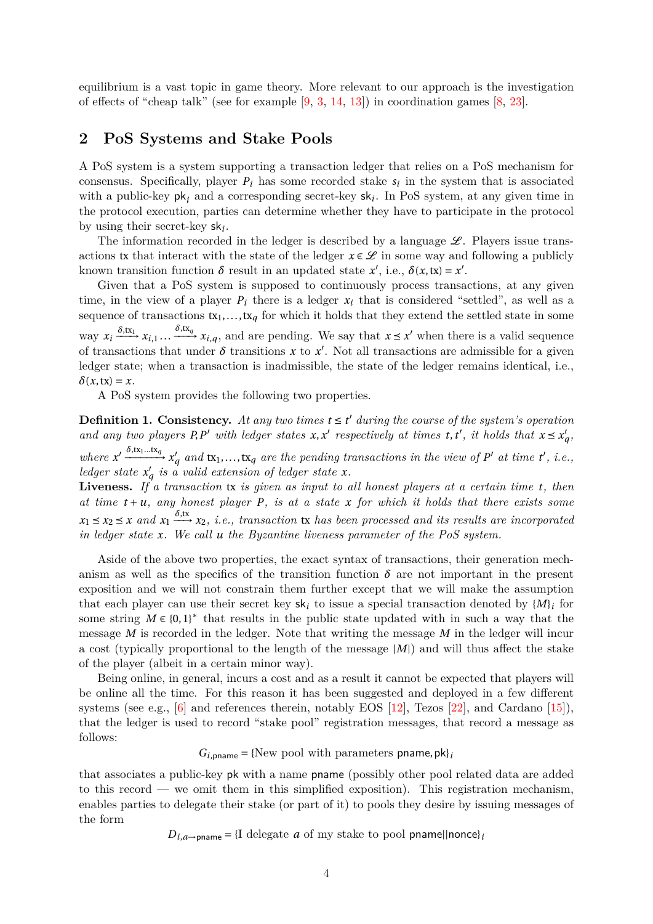equilibrium is a vast topic in game theory. More relevant to our approach is the investigation of effects of "cheap talk" (see for example [9, 3, 14, 13]) in coordination games [8, 23].

#### **2 PoS Systems and Stake Pools**

A PoS system is a system supporting a tr[an](#page-15-13)s[ac](#page-15-14)[tio](#page-15-15)n [led](#page-15-16)ger that relies on a PoS [m](#page-15-17)[ech](#page-16-4)anism for consensus. Specifically, player  $P_i$  has some recorded stake  $s_i$  in the system that is associated with a public-key pk*<sup>i</sup>* and a corresponding secret-key sk*<sup>i</sup>* . In PoS system, at any given time in the protocol execution, parties can determine whether they have to participate in the protocol by using their secret-key sk*<sup>i</sup>* .

The information recorded in the ledger is described by a language  $\mathscr{L}$ . Players issue transactions tx that interact with the state of the ledger  $x \in \mathcal{L}$  in some way and following a publicly known transition function  $\delta$  result in an updated state  $x'$ , i.e.,  $\delta(x, tx) = x'$ .

Given that a PoS system is supposed to continuously process transactions, at any given time, in the view of a player  $P_i$  there is a ledger  $x_i$  that is considered "settled", as well as a sequence of transactions  $tx_1, \ldots, tx_q$  for which it holds that they extend the settled state in some  $\lim_{i \to \infty} x_i \xrightarrow{\delta, \text{tx}_i} x_{i,1} \dots \xrightarrow{\delta, \text{tx}_q} x_{i,q}$ , and are pending. We say that  $x ≤ x'$  when there is a valid sequence of transactions that under  $\delta$  transitions  $x$  to  $x'$ . Not all transactions are admissible for a given ledger state; when a transaction is inadmissible, the state of the ledger remains identical, i.e.,  $\delta(x, \text{tx}) = x$ .

A PoS system provides the following two properties.

**Definition 1. Consistency.** At any two times  $t \leq t'$  during the course of the system's operation and any two players P, P' with ledger states  $x, x'$  respectively at times  $t, t'$ , it holds that  $x \le x'_q$ , where  $x' \xrightarrow{\delta, \text{tx}_1...\text{tx}_q} x'_q$  and  $\text{tx}_1,...,\text{tx}_q$  are the pending transactions in the view of  $P'$  at time  $t'$ , i.e., *ledger state*  $x'_q$  *is a valid extension of ledger state*  $x$ *.* 

**Liveness.** *If a transaction* tx *is given as input to all honest players at a certain time t, then* at time  $t + u$ *, any honest player*  $P$ *, is at a state*  $x$  *for which it holds that there exists some*  $x_1 \leq x_2 \leq x$  and  $x_1 \xrightarrow{\delta,\text{tx}} x_2$ , *i.e.*, transaction tx has been processed and its results are incorporated *in ledger state x. We call u the Byzantine liveness parameter of the PoS system.*

Aside of the above two properties, the exact syntax of transactions, their generation mechanism as well as the specifics of the transition function  $\delta$  are not important in the present exposition and we will not constrain them further except that we will make the assumption that each player can use their secret key  $sk_i$  to issue a special transaction denoted by  ${M_i}$  for some string  $M \in \{0,1\}^*$  that results in the public state updated with in such a way that the message *M* is recorded in the ledger. Note that writing the message *M* in the ledger will incur a cost (typically proportional to the length of the message *|M|*) and will thus affect the stake of the player (albeit in a certain minor way).

Being online, in general, incurs a cost and as a result it cannot be expected that players will be online all the time. For this reason it has been suggested and deployed in a few different systems (see e.g.,  $[6]$  and references therein, notably EOS [12], Tezos [22], and Cardano [15]), that the ledger is used to record "stake pool" registration messages, that record a message as follows:

 $G_{i.\text{oname}} = \{New pool with parameters \text{pname}, \text{pk}\}_i$  $G_{i.\text{oname}} = \{New pool with parameters \text{pname}, \text{pk}\}_i$  $G_{i.\text{oname}} = \{New pool with parameters \text{pname}, \text{pk}\}_i$ 

that associates a p[ub](#page-15-0)lic-key pk with a name pname (possibly other poo[l re](#page-16-2)lated data are a[dde](#page-15-11)d to this record — we omit them in this simplified exposition). This registration mechanism, enables parties to delegate their stake (or part of it) to pools they desire by issuing messages of the form

 $D_{i,a\rightarrow \text{pname}} = \{I \text{ delegate } a \text{ of } \text{my stake to pool } \text{pname} \}$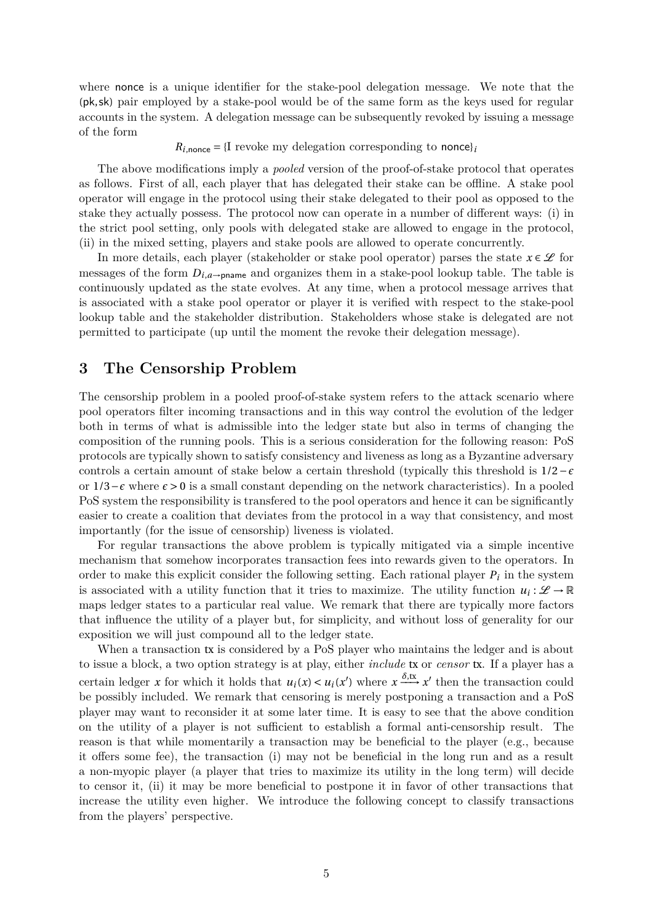where nonce is a unique identifier for the stake-pool delegation message. We note that the (pk,sk) pair employed by a stake-pool would be of the same form as the keys used for regular accounts in the system. A delegation message can be subsequently revoked by issuing a message of the form

 $R_{i,\text{none}} = \{I \text{ revoke my delegation corresponding to **none}\}\mathbf{i}**$ 

The above modifications imply a *pooled* version of the proof-of-stake protocol that operates as follows. First of all, each player that has delegated their stake can be offline. A stake pool operator will engage in the protocol using their stake delegated to their pool as opposed to the stake they actually possess. The protocol now can operate in a number of different ways: (i) in the strict pool setting, only pools with delegated stake are allowed to engage in the protocol, (ii) in the mixed setting, players and stake pools are allowed to operate concurrently.

In more details, each player (stakeholder or stake pool operator) parses the state  $x \in \mathscr{L}$  for messages of the form  $D_{i,a}$ <sub>→pname</sub> and organizes them in a stake-pool lookup table. The table is continuously updated as the state evolves. At any time, when a protocol message arrives that is associated with a stake pool operator or player it is verified with respect to the stake-pool lookup table and the stakeholder distribution. Stakeholders whose stake is delegated are not permitted to participate (up until the moment the revoke their delegation message).

#### **3 The Censorship Problem**

The censorship problem in a pooled proof-of-stake system refers to the attack scenario where pool operators filter incoming transactions and in this way control the evolution of the ledger both in terms of what is admissible into the ledger state but also in terms of changing the composition of the running pools. This is a serious consideration for the following reason: PoS protocols are typically shown to satisfy consistency and liveness as long as a Byzantine adversary controls a certain amount of stake below a certain threshold (typically this threshold is 1/2*−ϵ* or 1/3*−ϵ* where *ϵ >* 0 is a small constant depending on the network characteristics). In a pooled PoS system the responsibility is transfered to the pool operators and hence it can be significantly easier to create a coalition that deviates from the protocol in a way that consistency, and most importantly (for the issue of censorship) liveness is violated.

For regular transactions the above problem is typically mitigated via a simple incentive mechanism that somehow incorporates transaction fees into rewards given to the operators. In order to make this explicit consider the following setting. Each rational player *P<sup>i</sup>* in the system is associated with a utility function that it tries to maximize. The utility function  $u_i: \mathcal{L} \to \mathbb{R}$ maps ledger states to a particular real value. We remark that there are typically more factors that influence the utility of a player but, for simplicity, and without loss of generality for our exposition we will just compound all to the ledger state.

When a transaction tx is considered by a PoS player who maintains the ledger and is about to issue a block, a two option strategy is at play, either *include* tx or *censor* tx. If a player has a certain ledger *x* for which it holds that  $u_i(x) < u_i(x')$  where  $x \xrightarrow{\delta, \text{tx}} x'$  then the transaction could be possibly included. We remark that censoring is merely postponing a transaction and a PoS player may want to reconsider it at some later time. It is easy to see that the above condition on the utility of a player is not sufficient to establish a formal anti-censorship result. The reason is that while momentarily a transaction may be beneficial to the player (e.g., because it offers some fee), the transaction (i) may not be beneficial in the long run and as a result a non-myopic player (a player that tries to maximize its utility in the long term) will decide to censor it, (ii) it may be more beneficial to postpone it in favor of other transactions that increase the utility even higher. We introduce the following concept to classify transactions from the players' perspective.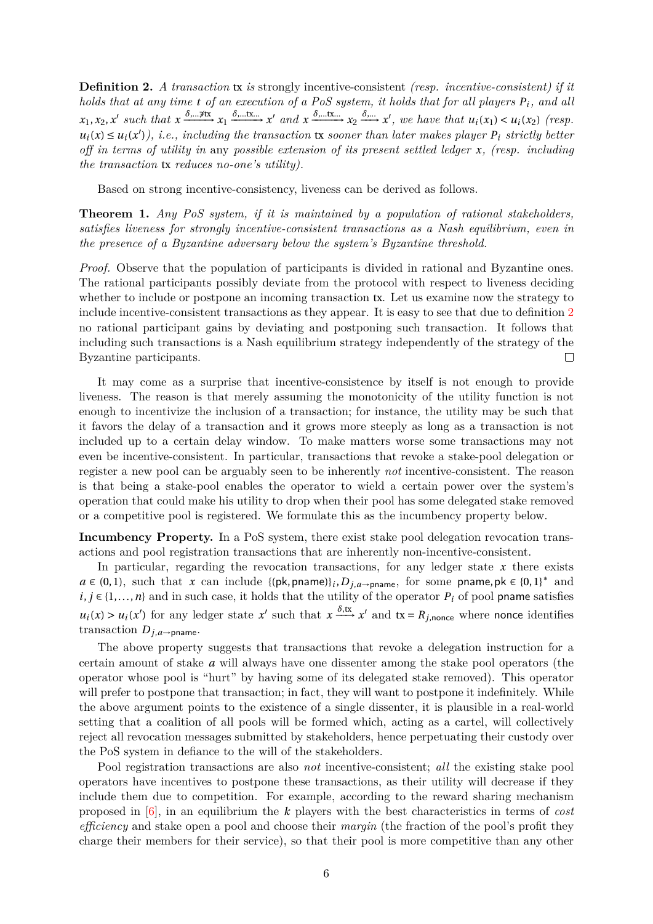**Definition 2.** *A transaction* tx *is* strongly incentive-consistent *(resp. incentive-consistent) if it holds that at any time t of an execution of a PoS system, it holds that for all players P<sup>i</sup> , and all*  $x_1, x_2, x'$  such that  $x \xrightarrow{\delta, \dots, \exists x} x_1 \xrightarrow{\delta, \dots, x} x'$  and  $x \xrightarrow{\delta, \dots, x} x_2 \xrightarrow{\delta, \dots} x'$ , we have that  $u_i(x_1) < u_i(x_2)$  (resp.  $u_i(x) \leq u_i(x')$ , *i.e., including the transaction* tx *sooner than later makes player*  $P_i$  *strictly better off in terms of utility in* any *possible extension of its present settled ledger x, (resp. including the transaction* tx *reduces no-one's utility).*

Based on strong incentive-consistency, liveness can be derived as follows.

**Theorem 1.** *Any PoS system, if it is maintained by a population of rational stakeholders, satisfies liveness for strongly incentive-consistent transactions as a Nash equilibrium, even in the presence of a Byzantine adversary below the system's Byzantine threshold.*

<span id="page-5-0"></span>*Proof.* Observe that the population of participants is divided in rational and Byzantine ones. The rational participants possibly deviate from the protocol with respect to liveness deciding whether to include or postpone an incoming transaction tx. Let us examine now the strategy to include incentive-consistent transactions as they appear. It is easy to see that due to definition 2 no rational participant gains by deviating and postponing such transaction. It follows that including such transactions is a Nash equilibrium strategy independently of the strategy of the Byzantine participants.  $\Box$ 

It may come as a surprise that incentive-consistence by itself is not enough to provide liveness. The reason is that merely assuming the monotonicity of the utility function is not enough to incentivize the inclusion of a transaction; for instance, the utility may be such that it favors the delay of a transaction and it grows more steeply as long as a transaction is not included up to a certain delay window. To make matters worse some transactions may not even be incentive-consistent. In particular, transactions that revoke a stake-pool delegation or register a new pool can be arguably seen to be inherently *not* incentive-consistent. The reason is that being a stake-pool enables the operator to wield a certain power over the system's operation that could make his utility to drop when their pool has some delegated stake removed or a competitive pool is registered. We formulate this as the incumbency property below.

**Incumbency Property.** In a PoS system, there exist stake pool delegation revocation transactions and pool registration transactions that are inherently non-incentive-consistent.

In particular, regarding the revocation transactions, for any ledger state *x* there exists *a* ∈ (0, 1), such that *x* can include {(pk,pname)}*i*, *D*<sub>*j*</sub>,*a*→<sub>pname</sub>, for some pname,pk ∈ {0, 1}<sup>\*</sup> and *i*, *j* ∈ {1,...,*n*} and in such case, it holds that the utility of the operator  $P_i$  of pool pname satisfies  $u_i(x) > u_i(x')$  for any ledger state x' such that  $x \xrightarrow{\delta,\text{tx}} x'$  and  $\text{tx} = R_{j,\text{none}}$  where nonce identifies transaction  $D_{j,a \rightarrow \text{pname}}$ .

The above property suggests that transactions that revoke a delegation instruction for a certain amount of stake *a* will always have one dissenter among the stake pool operators (the operator whose pool is "hurt" by having some of its delegated stake removed). This operator will prefer to postpone that transaction; in fact, they will want to postpone it indefinitely. While the above argument points to the existence of a single dissenter, it is plausible in a real-world setting that a coalition of all pools will be formed which, acting as a cartel, will collectively reject all revocation messages submitted by stakeholders, hence perpetuating their custody over the PoS system in defiance to the will of the stakeholders.

Pool registration transactions are also *not* incentive-consistent; *all* the existing stake pool operators have incentives to postpone these transactions, as their utility will decrease if they include them due to competition. For example, according to the reward sharing mechanism proposed in [6], in an equilibrium the *k* players with the best characteristics in terms of *cost efficiency* and stake open a pool and choose their *margin* (the fraction of the pool's profit they charge their members for their service), so that their pool is more competitive than any other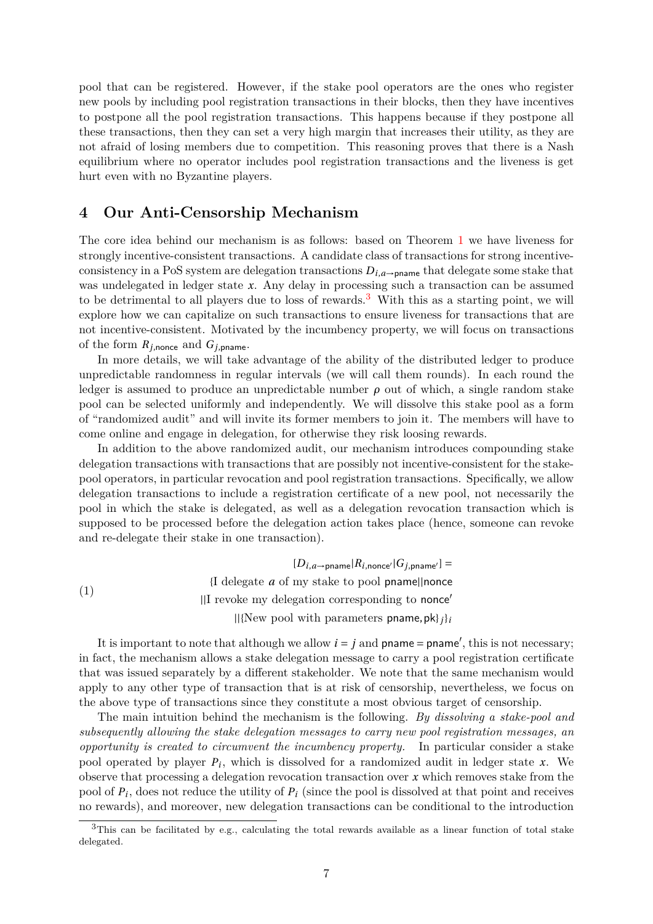pool that can be registered. However, if the stake pool operators are the ones who register new pools by including pool registration transactions in their blocks, then they have incentives to postpone all the pool registration transactions. This happens because if they postpone all these transactions, then they can set a very high margin that increases their utility, as they are not afraid of losing members due to competition. This reasoning proves that there is a Nash equilibrium where no operator includes pool registration transactions and the liveness is get hurt even with no Byzantine players.

## **4 Our Anti-Censorship Mechanism**

The core idea behind our mechanism is as follows: based on Theorem 1 we have liveness for strongly incentive-consistent transactions. A candidate class of transactions for strong incentiveconsistency in a PoS system are delegation transactions  $D_{i,a}$ <sub>→pname</sub> that delegate some stake that was undelegated in ledger state x. Any delay in processing such a transaction can be assumed to be detrimental to all players due to loss of rewards.<sup>3</sup> With this as a [st](#page-5-0)arting point, we will explore how we can capitalize on such transactions to ensure liveness for transactions that are not incentive-consistent. Motivated by the incumbency property, we will focus on transactions of the form  $R_{j,\text{none}}$  and  $G_{j,\text{pname}}$ .

In more details, we will take advantage of the abil[it](#page-6-0)y of the distributed ledger to produce unpredictable randomness in regular intervals (we will call them rounds). In each round the ledger is assumed to produce an unpredictable number  $\rho$  out of which, a single random stake pool can be selected uniformly and independently. We will dissolve this stake pool as a form of "randomized audit" and will invite its former members to join it. The members will have to come online and engage in delegation, for otherwise they risk loosing rewards.

In addition to the above randomized audit, our mechanism introduces compounding stake delegation transactions with transactions that are possibly not incentive-consistent for the stakepool operators, in particular revocation and pool registration transactions. Specifically, we allow delegation transactions to include a registration certificate of a new pool, not necessarily the pool in which the stake is delegated, as well as a delegation revocation transaction which is supposed to be processed before the delegation action takes place (hence, someone can revoke and re-delegate their stake in one transaction).

 $[D_{i,a} \rightarrow p$ name $|R_{i,\text{nonce'}}|G_{j,\text{prame'}}] =$ {I delegate *a* of my stake to pool pname*||*nonce *||*I revoke my delegation corresponding to nonce*′ ||*{New pool with parameters pname,pk}*j*}*<sup>i</sup>* (1)

It is important to note that although we allow  $i = j$  and  $\mathsf{pname} = \mathsf{pname}'$ , this is not necessary; in fact, the mechanism allows a stake delegation message to carry a pool registration certificate that was issued separately by a different stakeholder. We note that the same mechanism would apply to any other type of transaction that is at risk of censorship, nevertheless, we focus on the above type of transactions since they constitute a most obvious target of censorship.

The main intuition behind the mechanism is the following. *By dissolving a stake-pool and subsequently allowing the stake delegation messages to carry new pool registration messages, an opportunity is created to circumvent the incumbency property.* In particular consider a stake pool operated by player *P<sup>i</sup>* , which is dissolved for a randomized audit in ledger state *x*. We observe that processing a delegation revocation transaction over *x* which removes stake from the pool of *P<sup>i</sup>* , does not reduce the utility of *P<sup>i</sup>* (since the pool is dissolved at that point and receives no rewards), and moreover, new delegation transactions can be conditional to the introduction

<span id="page-6-0"></span><sup>&</sup>lt;sup>3</sup>This can be facilitated by e.g., calculating the total rewards available as a linear function of total stake delegated.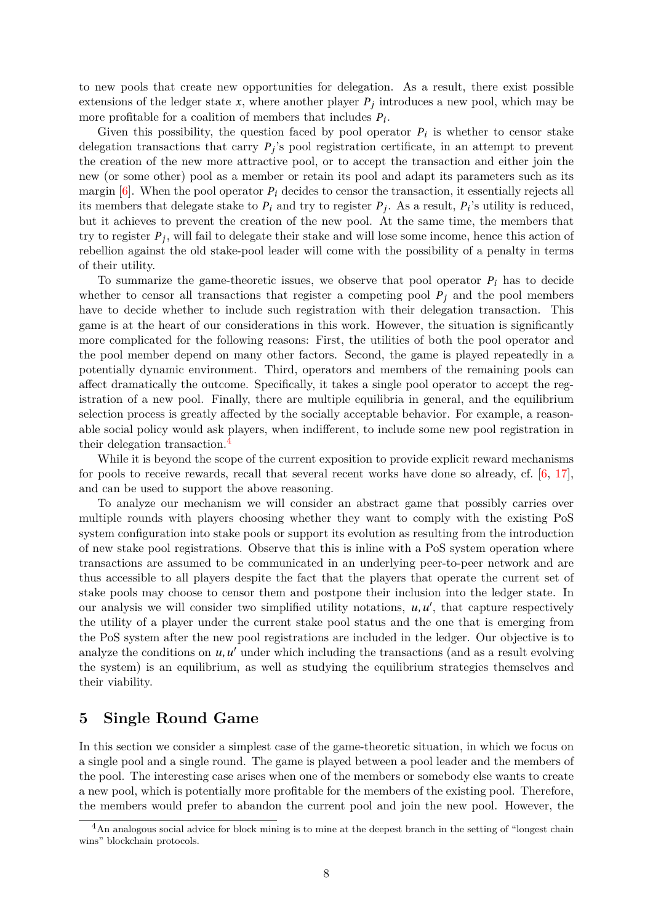to new pools that create new opportunities for delegation. As a result, there exist possible extensions of the ledger state  $x$ , where another player  $P_j$  introduces a new pool, which may be more profitable for a coalition of members that includes *P<sup>i</sup>* .

Given this possibility, the question faced by pool operator  $P_i$  is whether to censor stake delegation transactions that carry *P<sup>j</sup>* 's pool registration certificate, in an attempt to prevent the creation of the new more attractive pool, or to accept the transaction and either join the new (or some other) pool as a member or retain its pool and adapt its parameters such as its margin  $[6]$ . When the pool operator  $P_i$  decides to censor the transaction, it essentially rejects all its members that delegate stake to  $P_i$  and try to register  $P_j$ . As a result,  $P_i$ 's utility is reduced, but it achieves to prevent the creation of the new pool. At the same time, the members that try to register *P<sup>j</sup>* , will fail to delegate their stake and will lose some income, hence this action of rebellio[n a](#page-15-0)gainst the old stake-pool leader will come with the possibility of a penalty in terms of their utility.

To summarize the game-theoretic issues, we observe that pool operator *P<sup>i</sup>* has to decide whether to censor all transactions that register a competing pool  $P_j$  and the pool members have to decide whether to include such registration with their delegation transaction. This game is at the heart of our considerations in this work. However, the situation is significantly more complicated for the following reasons: First, the utilities of both the pool operator and the pool member depend on many other factors. Second, the game is played repeatedly in a potentially dynamic environment. Third, operators and members of the remaining pools can affect dramatically the outcome. Specifically, it takes a single pool operator to accept the registration of a new pool. Finally, there are multiple equilibria in general, and the equilibrium selection process is greatly affected by the socially acceptable behavior. For example, a reasonable social policy would ask players, when indifferent, to include some new pool registration in their delegation transaction.<sup>4</sup>

While it is beyond the scope of the current exposition to provide explicit reward mechanisms for pools to receive rewards, recall that several recent works have done so already, cf. [6, 17], and can be used to support [th](#page-7-0)e above reasoning.

To analyze our mechanism we will consider an abstract game that possibly carries over multiple rounds with players choosing whether they want to comply with the existing PoS system configuration into stake pools or support its evolution as resulting from the introd[u](#page-15-0)c[tio](#page-15-1)n of new stake pool registrations. Observe that this is inline with a PoS system operation where transactions are assumed to be communicated in an underlying peer-to-peer network and are thus accessible to all players despite the fact that the players that operate the current set of stake pools may choose to censor them and postpone their inclusion into the ledger state. In our analysis we will consider two simplified utility notations, *u*,*u ′* , that capture respectively the utility of a player under the current stake pool status and the one that is emerging from the PoS system after the new pool registrations are included in the ledger. Our objective is to analyze the conditions on *u*,*u ′* under which including the transactions (and as a result evolving the system) is an equilibrium, as well as studying the equilibrium strategies themselves and their viability.

#### **5 Single Round Game**

In this section we consider a simplest case of the game-theoretic situation, in which we focus on a single pool and a single round. The game is played between a pool leader and the members of the pool. The interesting case arises when one of the members or somebody else wants to create a new pool, which is potentially more profitable for the members of the existing pool. Therefore, the members would prefer to abandon the current pool and join the new pool. However, the

<span id="page-7-0"></span><sup>&</sup>lt;sup>4</sup>An analogous social advice for block mining is to mine at the deepest branch in the setting of "longest chain wins" blockchain protocols.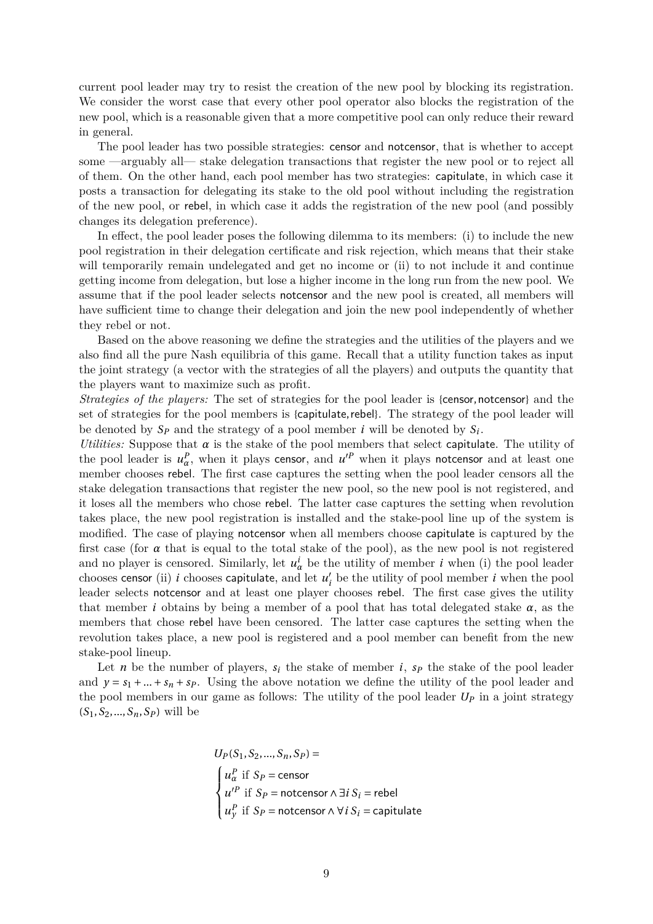current pool leader may try to resist the creation of the new pool by blocking its registration. We consider the worst case that every other pool operator also blocks the registration of the new pool, which is a reasonable given that a more competitive pool can only reduce their reward in general.

The pool leader has two possible strategies: censor and notcensor, that is whether to accept some —arguably all— stake delegation transactions that register the new pool or to reject all of them. On the other hand, each pool member has two strategies: capitulate, in which case it posts a transaction for delegating its stake to the old pool without including the registration of the new pool, or rebel, in which case it adds the registration of the new pool (and possibly changes its delegation preference).

In effect, the pool leader poses the following dilemma to its members: (i) to include the new pool registration in their delegation certificate and risk rejection, which means that their stake will temporarily remain undelegated and get no income or (ii) to not include it and continue getting income from delegation, but lose a higher income in the long run from the new pool. We assume that if the pool leader selects notcensor and the new pool is created, all members will have sufficient time to change their delegation and join the new pool independently of whether they rebel or not.

Based on the above reasoning we define the strategies and the utilities of the players and we also find all the pure Nash equilibria of this game. Recall that a utility function takes as input the joint strategy (a vector with the strategies of all the players) and outputs the quantity that the players want to maximize such as profit.

*Strategies of the players:* The set of strategies for the pool leader is {censor, notcensor} and the set of strategies for the pool members is {capitulate,rebel}. The strategy of the pool leader will be denoted by  $S_p$  and the strategy of a pool member *i* will be denoted by  $S_i$ .

*Utilities:* Suppose that  $\alpha$  is the stake of the pool members that select capitulate. The utility of the pool leader is  $u^P_\alpha$ , when it plays censor, and  $u'^P$  when it plays notcensor and at least one member chooses rebel. The first case captures the setting when the pool leader censors all the stake delegation transactions that register the new pool, so the new pool is not registered, and it loses all the members who chose rebel. The latter case captures the setting when revolution takes place, the new pool registration is installed and the stake-pool line up of the system is modified. The case of playing notcensor when all members choose capitulate is captured by the first case (for  $\alpha$  that is equal to the total stake of the pool), as the new pool is not registered and no player is censored. Similarly, let  $u^i_\alpha$  be the utility of member *i* when (i) the pool leader chooses censor (ii) *i* chooses capitulate, and let  $u'_{i}$  be the utility of pool member *i* when the pool leader selects notcensor and at least one player chooses rebel. The first case gives the utility that member *i* obtains by being a member of a pool that has total delegated stake  $\alpha$ , as the members that chose rebel have been censored. The latter case captures the setting when the revolution takes place, a new pool is registered and a pool member can benefit from the new stake-pool lineup.

Let *n* be the number of players,  $s_i$  the stake of member *i*,  $s_p$  the stake of the pool leader and  $y = s_1 + ... + s_n + s_p$ . Using the above notation we define the utility of the pool leader and the pool members in our game as follows: The utility of the pool leader  $U_P$  in a joint strategy  $(S_1, S_2, ..., S_n, S_p)$  will be

$$
U_P(S_1, S_2, ..., S_n, S_P) =
$$
\n
$$
\begin{cases}\nu_{\alpha}^P \text{ if } S_P = \text{censor} \\
u'^P \text{ if } S_P = \text{notcensor} \land \exists i \, S_i = \text{rebel} \\
u^P \text{ if } S_P = \text{notcensor} \land \forall i \, S_i = \text{capitulate}\n\end{cases}
$$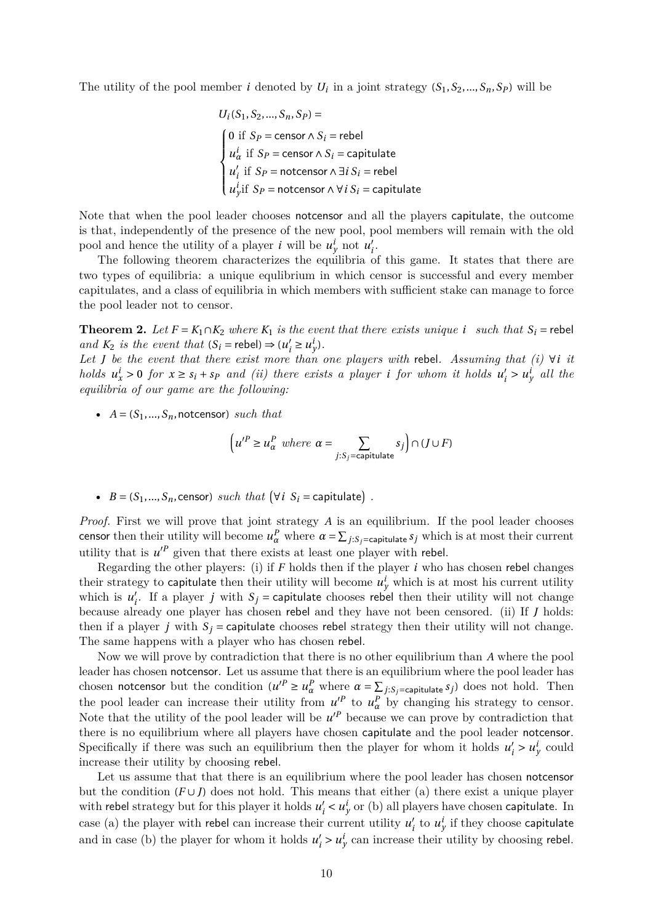The utility of the pool member *i* denoted by  $U_i$  in a joint strategy  $(S_1, S_2, ..., S_n, S_p)$  will be

$$
U_i(S_1, S_2, ..., S_n, S_P) =
$$
\n
$$
\begin{cases}\n0 \text{ if } S_P = \text{censor} \land S_i = \text{rebel} \\
u_{\alpha}^i \text{ if } S_P = \text{censor} \land S_i = \text{capitulate} \\
u_i^i \text{ if } S_P = \text{notesor} \land \exists i S_i = \text{rebel} \\
u_{\gamma}^i \text{ if } S_P = \text{notesor} \land \forall i S_i = \text{capitulate}\n\end{cases}
$$

Note that when the pool leader chooses notcensor and all the players capitulate, the outcome is that, independently of the presence of the new pool, pool members will remain with the old pool and hence the utility of a player *i* will be  $u_j^i$  not  $u_i'$ .

The following theorem characterizes the equilibria of this game. It states that there are two types of equilibria: a unique equlibrium in which censor is successful and every member capitulates, and a class of equilibria in which members with sufficient stake can manage to force the pool leader not to censor.

**Theorem 2.** Let  $F = K_1 \cap K_2$  where  $K_1$  *is the event that there exists unique i such that*  $S_i$  = rebel *and*  $K_2$  *is the event that*  $(S_i = \text{rebel}) \Rightarrow (u'_i \ge u'_j)$ *.* 

*Let J be the event that there exist more than one players with* rebel*. Assuming that (i) ∀i it* holds  $u_x^i > 0$  for  $x \ge s_i + s_p$  and (ii) there exists a player i for whom it holds  $u'_i > u_y^i$  all the *equilibria of our game are the following:*

•  $A = (S_1, ..., S_n,$ notcensor) *such that* 

$$
\left(u'^P \ge u^P_{\alpha} \text{ where } \alpha = \sum_{j: S_j = \text{capitalate}} s_j\right) \cap (J \cup F)
$$

•  $B = (S_1, ..., S_n, \text{censor})$  *such that*  $(\forall i \ S_i = \text{capitulate})$ .

*Proof.* First we will prove that joint strategy *A* is an equilibrium. If the pool leader chooses censor then their utility will become  $u^P_\alpha$  where  $\alpha = \sum_{j:S_j = \text{capitulate}} s_j$  which is at most their current utility that is  $u'^P$  given that there exists at least one player with rebel.

Regarding the other players: (i) if *F* holds then if the player *i* who has chosen rebel changes their strategy to capitulate then their utility will become  $u^i_y$  which is at most his current utility which is  $u'_{i}$ . If a player *j* with  $S_{j}$  = capitulate chooses rebel then their utility will not change because already one player has chosen rebel and they have not been censored. (ii) If *J* holds: then if a player *j* with  $S_i$  = capitulate chooses rebel strategy then their utility will not change. The same happens with a player who has chosen rebel.

Now we will prove by contradiction that there is no other equilibrium than *A* where the pool leader has chosen notcensor. Let us assume that there is an equilibrium where the pool leader has chosen notcensor but the condition  $(u'^P \ge u^P_\alpha$  where  $\alpha = \sum_{j:S_j = \text{capitalate}} s_j)$  does not hold. Then the pool leader can increase their utility from  $u^P$  to  $u^P_\alpha$  by changing his strategy to censor. Note that the utility of the pool leader will be  $u'^P$  because we can prove by contradiction that there is no equilibrium where all players have chosen capitulate and the pool leader notcensor. Specifically if there was such an equilibrium then the player for whom it holds  $u'_i > u^i_y$  could increase their utility by choosing rebel.

Let us assume that that there is an equilibrium where the pool leader has chosen notcensor but the condition  $(F \cup J)$  does not hold. This means that either (a) there exist a unique player with rebel strategy but for this player it holds  $u'_i < u'_y$  or (b) all players have chosen capitulate. In case (a) the player with rebel can increase their current utility  $u'_i$  to  $u^i_y$  if they choose capitulate and in case (b) the player for whom it holds  $u'_i > u_y^i$  can increase their utility by choosing rebel.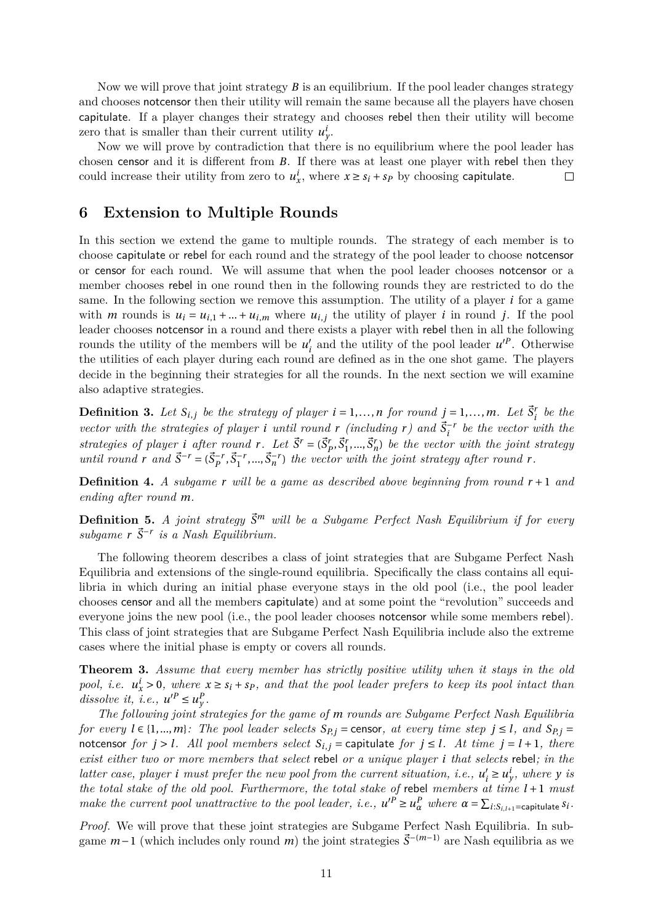Now we will prove that joint strategy *B* is an equilibrium. If the pool leader changes strategy and chooses notcensor then their utility will remain the same because all the players have chosen capitulate. If a player changes their strategy and chooses rebel then their utility will become zero that is smaller than their current utility  $u_y^i$ .

Now we will prove by contradiction that there is no equilibrium where the pool leader has chosen censor and it is different from *B*. If there was at least one player with rebel then they could increase their utility from zero to  $u_x^i$ , where  $x \ge s_i + s_p$  by choosing capitulate.  $\Box$ 

#### **6 Extension to Multiple Rounds**

In this section we extend the game to multiple rounds. The strategy of each member is to choose capitulate or rebel for each round and the strategy of the pool leader to choose notcensor or censor for each round. We will assume that when the pool leader chooses notcensor or a member chooses rebel in one round then in the following rounds they are restricted to do the same. In the following section we remove this assumption. The utility of a player *i* for a game with *m* rounds is  $u_i = u_{i,1} + ... + u_{i,m}$  where  $u_{i,j}$  the utility of player *i* in round *j*. If the pool leader chooses notcensor in a round and there exists a player with rebel then in all the following rounds the utility of the members will be  $u'_{i}$  and the utility of the pool leader  $u'^{P}$ . Otherwise the utilities of each player during each round are defined as in the one shot game. The players decide in the beginning their strategies for all the rounds. In the next section we will examine also adaptive strategies.

**Definition 3.** Let  $S_{i,j}$  be the strategy of player  $i = 1,...,n$  for round  $j = 1,...,m$ . Let  $\vec{S}_i^r$  be the *vector with the strategies of player i until round*  $r$  *(including*  $r$ *)* and  $\vec{S}_i^{-r}$  be the vector with the strategies of player *i* after round r. Let  $\vec{S}' = (\vec{S}'_P, \vec{S}'_1, ..., \vec{S}'_n)$  be the vector with the joint strategy until round r and  $\vec{S}^{-r} = (\vec{S}_P^{-r}, \vec{S}_1^{-r}, ..., \vec{S}_n^{-r})$  the vector with the joint strategy after round r.

**Definition 4.** *A subgame r will be a game as described above beginning from round*  $r + 1$  *and ending after round m.*

**Definition 5.** *A joint strategy*  $\vec{S}^m$  *will be a Subgame Perfect Nash Equilibrium if for every* subgame  $r \, \vec{S}^{-r}$  is a Nash Equilibrium.

The following theorem describes a class of joint strategies that are Subgame Perfect Nash Equilibria and extensions of the single-round equilibria. Specifically the class contains all equilibria in which during an initial phase everyone stays in the old pool (i.e., the pool leader chooses censor and all the members capitulate) and at some point the "revolution" succeeds and everyone joins the new pool (i.e., the pool leader chooses notcensor while some members rebel). This class of joint strategies that are Subgame Perfect Nash Equilibria include also the extreme cases where the initial phase is empty or covers all rounds.

**Theorem 3.** *Assume that every member has strictly positive utility when it stays in the old pool, i.e.*  $u_x^i > 0$ , where  $x \geq s_i + s_p$ , and that the pool leader prefers to keep its pool intact than *dissolve it, i.e.,*  $u'^P \leq u_y^P$ .

*The following joint strategies for the game of m rounds are Subgame Perfect Nash Equilibria* for every  $l \in \{1, ..., m\}$ : The pool leader selects  $S_{P,i}$  = censor, at every time step  $j \leq l$ , and  $S_{P,i}$  = notcensor for  $j > l$ . All pool members select  $S_{i,j}$  = capitulate for  $j \le l$ . At time  $j = l + 1$ , there *exist either two or more members that select* rebel *or a unique player i that selects* rebel*; in the latter case, player i must prefer the new pool from the current situation, i.e.,*  $u'_i \ge u'_y$ *, where y is the total stake of the old pool. Furthermore, the total stake of* rebel *members at time l +*1 *must* make the current pool unattractive to the pool leader, i.e.,  $u'^P \ge u^P_\alpha$  where  $\alpha = \sum_{i:S_{i,l+1}=\text{capitalate}} s_i$ .

*Proof.* We will prove that these joint strategies are Subgame Perfect Nash Equilibria. In subgame *<sup>m</sup>−*<sup>1</sup> (which includes only round *<sup>m</sup>*) the joint strategies ⃗*<sup>S</sup> <sup>−</sup>*(*m−*1) are Nash equilibria as we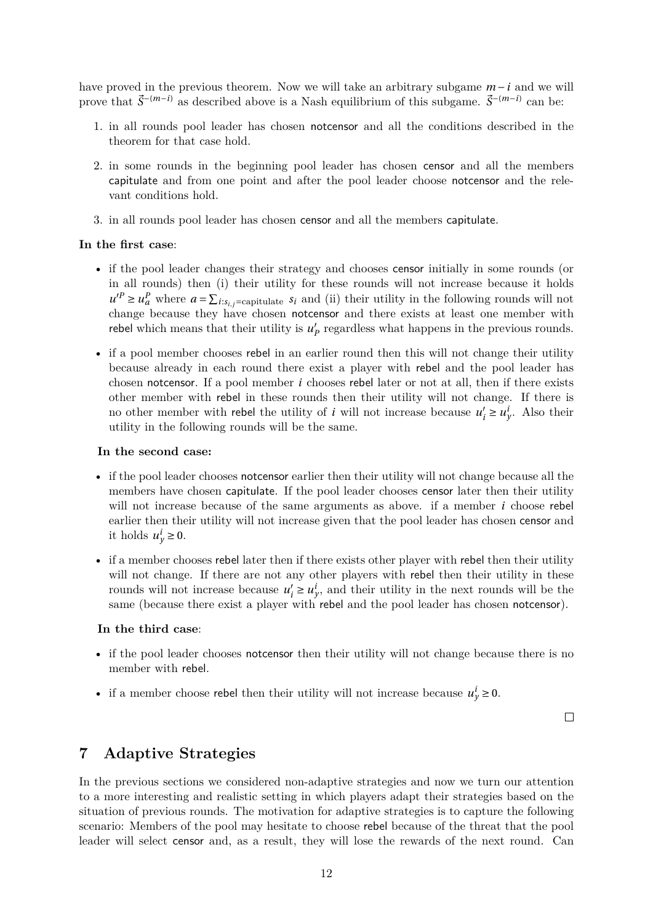have proved in the previous theorem. Now we will take an arbitrary subgame *m −i* and we will prove that  $\vec{S}$ <sup>-(*m*-*i*)</sup> as described above is a Nash equilibrium of this subgame.  $\vec{S}$ <sup>-(*m*-*i*)</sup> can be:

- 1. in all rounds pool leader has chosen notcensor and all the conditions described in the theorem for that case hold.
- 2. in some rounds in the beginning pool leader has chosen censor and all the members capitulate and from one point and after the pool leader choose notcensor and the relevant conditions hold.
- 3. in all rounds pool leader has chosen censor and all the members capitulate.

#### **In the first case**:

- if the pool leader changes their strategy and chooses censor initially in some rounds (or in all rounds) then (i) their utility for these rounds will not increase because it holds  $u'^P \ge u_a^P$  where  $a = \sum_{i:s_{i,j}=\text{capitalate}} s_i$  and (ii) their utility in the following rounds will not change because they have chosen notcensor and there exists at least one member with rebel which means that their utility is  $u'_{p}$  regardless what happens in the previous rounds.
- if a pool member chooses rebel in an earlier round then this will not change their utility because already in each round there exist a player with rebel and the pool leader has chosen notcensor. If a pool member *i* chooses rebel later or not at all, then if there exists other member with rebel in these rounds then their utility will not change. If there is no other member with rebel the utility of *i* will not increase because  $u'_i \ge u'_y$ . Also their utility in the following rounds will be the same.

#### **In the second case:**

- if the pool leader chooses notcensor earlier then their utility will not change because all the members have chosen capitulate. If the pool leader chooses censor later then their utility will not increase because of the same arguments as above. if a member *i* choose rebel earlier then their utility will not increase given that the pool leader has chosen censor and it holds  $u_y^i \geq 0$ .
- if a member chooses rebel later then if there exists other player with rebel then their utility will not change. If there are not any other players with rebel then their utility in these rounds will not increase because  $u'_i \ge u^i_y$ , and their utility in the next rounds will be the same (because there exist a player with rebel and the pool leader has chosen notcensor).

#### **In the third case**:

- if the pool leader chooses notcensor then their utility will not change because there is no member with rebel.
- if a member choose rebel then their utility will not increase because  $u^i_y \ge 0$ .

 $\Box$ 

## **7 Adaptive Strategies**

In the previous sections we considered non-adaptive strategies and now we turn our attention to a more interesting and realistic setting in which players adapt their strategies based on the situation of previous rounds. The motivation for adaptive strategies is to capture the following scenario: Members of the pool may hesitate to choose rebel because of the threat that the pool leader will select censor and, as a result, they will lose the rewards of the next round. Can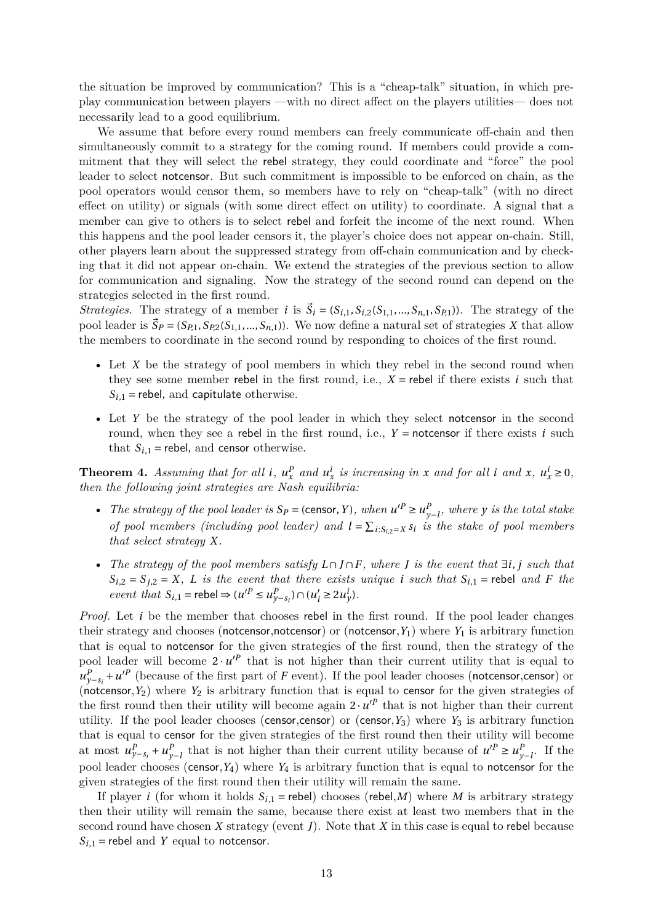the situation be improved by communication? This is a "cheap-talk" situation, in which preplay communication between players —with no direct affect on the players utilities— does not necessarily lead to a good equilibrium.

We assume that before every round members can freely communicate off-chain and then simultaneously commit to a strategy for the coming round. If members could provide a commitment that they will select the rebel strategy, they could coordinate and "force" the pool leader to select notcensor. But such commitment is impossible to be enforced on chain, as the pool operators would censor them, so members have to rely on "cheap-talk" (with no direct effect on utility) or signals (with some direct effect on utility) to coordinate. A signal that a member can give to others is to select rebel and forfeit the income of the next round. When this happens and the pool leader censors it, the player's choice does not appear on-chain. Still, other players learn about the suppressed strategy from off-chain communication and by checking that it did not appear on-chain. We extend the strategies of the previous section to allow for communication and signaling. Now the strategy of the second round can depend on the strategies selected in the first round.

*Strategies.* The strategy of a member *i* is  $\vec{S}_i = (S_{i,1}, S_{i,2}(S_{1,1},...,S_{n,1},S_{P,1}))$ . The strategy of the pool leader is  $\vec{S}_P = (S_{P,1}, S_{P,2}(S_{1,1},...,S_{n,1}))$ . We now define a natural set of strategies *X* that allow the members to coordinate in the second round by responding to choices of the first round.

- Let *X* be the strategy of pool members in which they rebel in the second round when they see some member rebel in the first round, i.e.,  $X =$  rebel if there exists *i* such that  $S_{i,1}$  = rebel, and capitulate otherwise.
- Let *Y* be the strategy of the pool leader in which they select notcensor in the second round, when they see a rebel in the first round, i.e., *Y =* notcensor if there exists *i* such that  $S_{i,1}$  = rebel, and censor otherwise.

<span id="page-12-0"></span>**Theorem 4.** Assuming that for all i,  $u_x^P$  and  $u_x^i$  is increasing in x and for all i and x,  $u_x^i \ge 0$ , *then the following joint strategies are Nash equilibria:*

- *The strategy of the pool leader is*  $S_P$  = (censor, *Y*), when  $u'^P \ge u^P$ *y−l , where y is the total stake of pool members (including pool leader) and*  $l = \sum_{i:S_{i,2}=X} S_i$  *is the stake of pool members that select strategy X.*
- *The strategy of the pool members satisfy L ∩ J ∩F, where J is the event that ∃i*, *j such that*  $S_{i,2} = S_{j,2} = X$ , *L is the event that there exists unique <i>i such that*  $S_{i,1}$  = rebel *and F the event that*  $S_{i,1}$  = rebel  $\Rightarrow (u'^P \le u^P_{y-s_i}) \cap (u'_i \ge 2u^i_y)$ .

*Proof.* Let *i* be the member that chooses rebel in the first round. If the pool leader changes their strategy and chooses (notcensor,notcensor) or (notcensor,  $Y_1$ ) where  $Y_1$  is arbitrary function that is equal to notcensor for the given strategies of the first round, then the strategy of the pool leader will become  $2 \cdot u'^P$  that is not higher than their current utility that is equal to  $u_{y-s_i}^P + u'^P$  (because of the first part of *F* event). If the pool leader chooses (notcensor,censor) or (notcensor,  $Y_2$ ) where  $Y_2$  is arbitrary function that is equal to censor for the given strategies of the first round then their utility will become again  $2 \cdot u'^P$  that is not higher than their current utility. If the pool leader chooses (censor,censor) or (censor, $Y_3$ ) where  $Y_3$  is arbitrary function that is equal to censor for the given strategies of the first round then their utility will become at most  $u_{y-s_i}^P + u_y^P$ *y−l* that is not higher than their current utility because of *u ′<sup>P</sup> <sup>≥</sup> <sup>u</sup> P*  $\int_{y-l}^{P}$  If the pool leader chooses (censor,*Y*4) where *Y*<sup>4</sup> is arbitrary function that is equal to notcensor for the given strategies of the first round then their utility will remain the same.

If player *i* (for whom it holds  $S_{i,1}$  = rebel) chooses (rebel,*M*) where *M* is arbitrary strategy then their utility will remain the same, because there exist at least two members that in the second round have chosen *X* strategy (event *J*). Note that *X* in this case is equal to rebel because  $S_{i,1}$  = rebel and *Y* equal to notcensor.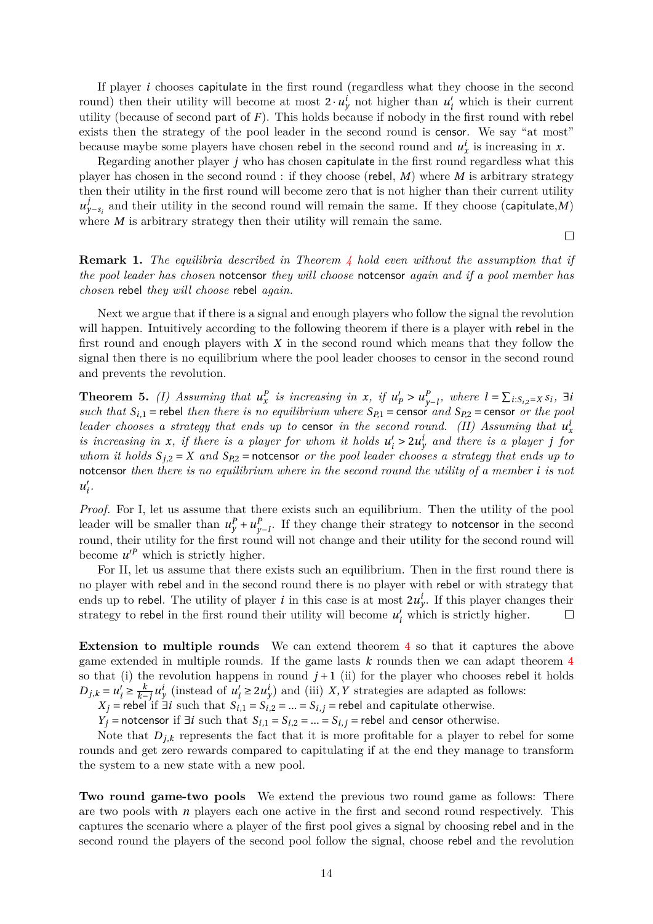If player *i* chooses capitulate in the first round (regardless what they choose in the second round) then their utility will become at most  $2 \cdot u_y^i$  not higher than  $u'_i$  which is their current utility (because of second part of *F*). This holds because if nobody in the first round with rebel exists then the strategy of the pool leader in the second round is censor. We say "at most" because maybe some players have chosen rebel in the second round and  $u_x^i$  is increasing in *x*.

Regarding another player *j* who has chosen capitulate in the first round regardless what this player has chosen in the second round : if they choose (rebel, *M*) where *M* is arbitrary strategy then their utility in the first round will become zero that is not higher than their current utility  $u_{y-s_i}^j$  and their utility in the second round will remain the same. If they choose (capitulate,*M*) where *M* is arbitrary strategy then their utility will remain the same.

**Remark 1.** *The equilibria described in Theorem 4 hold even without the assumption that if the pool leader has chosen* notcensor *they will choose* notcensor *again and if a pool member has chosen* rebel *they will choose* rebel *again.*

Next we argue that if there is a signal and enoug[h](#page-12-0) players who follow the signal the revolution will happen. Intuitively according to the following theorem if there is a player with rebel in the first round and enough players with *X* in the second round which means that they follow the signal then there is no equilibrium where the pool leader chooses to censor in the second round and prevents the revolution.

**Theorem 5.** *(I)* Assuming that  $u_x^P$  is increasing in *x*, if  $u'_P > u_y^P$ *y−l , where l =* ∑ *<sup>i</sup>*:*Si*,2*=<sup>X</sup> <sup>s</sup><sup>i</sup> , <sup>∃</sup><sup>i</sup> such that*  $S_{i,1}$  = rebel *then there is no equilibrium where*  $S_{P,1}$  = censor *and*  $S_{P,2}$  = censor *or the pool leader chooses a strategy that ends up to censor <i>in the second round.* (II) Assuming that  $u_x^i$ *is increasing in x*, *if there is a player for whom it holds*  $u'_i > 2u'_j$  *and there is a player j for whom it holds*  $S_{j,2} = X$  *and*  $S_{p,2} =$  notcensor *or the pool leader chooses a strategy that ends up to* notcensor *then there is no equilibrium where in the second round the utility of a member i is not*  $u'_{i}$ .

*Proof.* For I, let us assume that there exists such an equilibrium. Then the utility of the pool leader will be smaller than  $u_y^P + u_y^P$  $\frac{P}{y-1}$ . If they change their strategy to notcensor in the second round, their utility for the first round will not change and their utility for the second round will become  $u'^P$  which is strictly higher.

For II, let us assume that there exists such an equilibrium. Then in the first round there is no player with rebel and in the second round there is no player with rebel or with strategy that ends up to rebel. The utility of player *i* in this case is at most  $2u_y^i$ . If this player changes their strategy to rebel in the first round their utility will become  $u'_{i}$  which is strictly higher.  $\Box$ 

**Extension to multiple rounds** We can extend theorem 4 so that it captures the above game extended in multiple rounds. If the game lasts *k* rounds then we can adapt theorem 4 so that (i) the revolution happens in round  $j+1$  (ii) for the player who chooses rebel it holds *D*<sub>*j*</sub>,*k* =  $u'_{i} \geq \frac{k}{k-1}$  $\frac{k}{k-j} u^i_y$  (instead of  $u'_i \ge 2u^i_y$ ) and (iii) *X*, *Y* strategies are adapted as follows:

*X*<sup>*j*</sup> = rebel if *∃i* such that  $S$ <sup>*i*</sup>,1 =  $S$ <sup>*i*</sup>,2 = ... =  $S$ <sup>*i*</sup>,*j* = rebel and ca[pit](#page-12-0)ulate otherwise.

*Y*<sup>*j*</sup> = notcensor if *∃i* such that  $S$ <sup>*i*</sup>,1 =  $S$ <sup>*i*</sup>,2 = ... =  $S$ <sup>*i*</sup>,*j* = rebel and censor otherwise.

Note that  $D_{j,k}$  represents the fact that it is more profitable for a player to rebel for some rounds and get zero rewards compared to capitulating if at the end they manage to transform the system to a new state with a new pool.

**Two round game-two pools** We extend the previous two round game as follows: There are two pools with *n* players each one active in the first and second round respectively. This captures the scenario where a player of the first pool gives a signal by choosing rebel and in the second round the players of the second pool follow the signal, choose rebel and the revolution

 $\Box$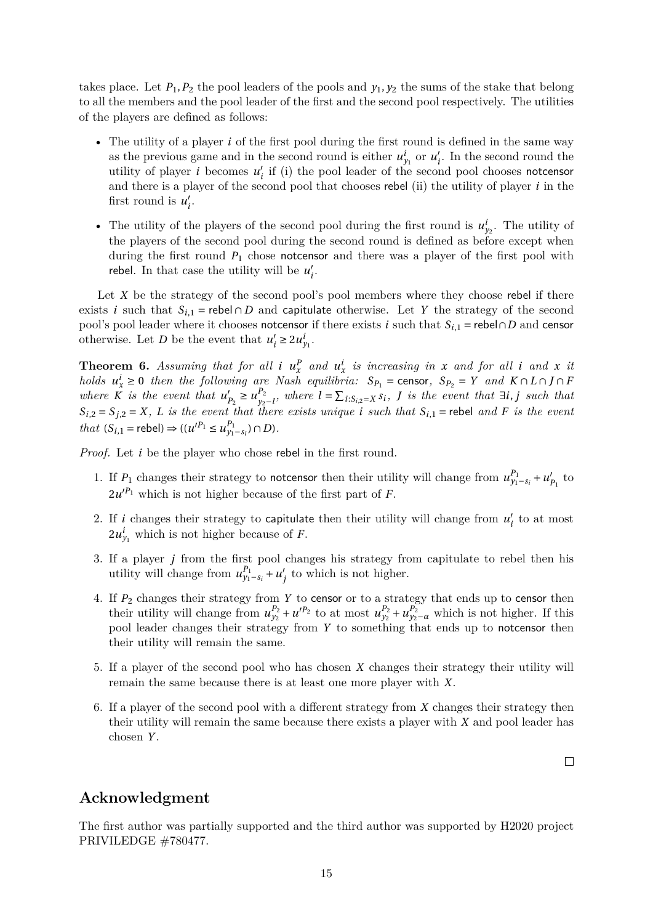takes place. Let  $P_1$ ,  $P_2$  the pool leaders of the pools and  $y_1$ ,  $y_2$  the sums of the stake that belong to all the members and the pool leader of the first and the second pool respectively. The utilities of the players are defined as follows:

- The utility of a player *i* of the first pool during the first round is defined in the same way as the previous game and in the second round is either  $u_{y_1}^i$  or  $u_i'$ . In the second round the utility of player *i* becomes  $u'_{i}$  if (i) the pool leader of the second pool chooses notcensor and there is a player of the second pool that chooses rebel (ii) the utility of player *i* in the first round is  $u'_i$ .
- The utility of the players of the second pool during the first round is  $u_{y_2}^i$ . The utility of the players of the second pool during the second round is defined as before except when during the first round *P*<sup>1</sup> chose notcensor and there was a player of the first pool with rebel. In that case the utility will be  $u'_i$ .

Let  $X$  be the strategy of the second pool's pool members where they choose rebel if there exists *i* such that  $S_{i,1}$  = rebel  $\cap$  *D* and capitulate otherwise. Let *Y* the strategy of the second pool's pool leader where it chooses notcensor if there exists *i* such that  $S_{i,1}$  = rebel $\cap D$  and censor otherwise. Let *D* be the event that  $u'_i \ge 2u'_{y_1}$ .

**Theorem 6.** Assuming that for all *i*  $u_x^P$  and  $u_x^i$  *is increasing in x* and for all *i* and *x it* holds  $u_x^i \ge 0$  then the following are Nash equilibria:  $S_{P_1}$  = censor,  $S_{P_2} = Y$  and  $K \cap L \cap J \cap F$ *where*  $\tilde{K}$  *is the event that*  $u'_{P_2} \geq u_{y_2}^{P_2}$  $y_2 - l$ , where  $l = \sum_{i:S_{i,2}=X} s_i$ , *J is the event that*  $\exists i, j$  *such that*  $S_{i,2} = S_{j,2} = X$ , L is the event that there exists unique i such that  $S_{i,1}$  = rebel and F is the event *that*  $(S_{i,1} = \text{rebel}) \Rightarrow ((u'^{P_1} \le u_{y_1 - s_i}^{P_1}) \cap D)$ *.* 

*Proof.* Let *i* be the player who chose rebel in the first round.

- 1. If  $P_1$  changes their strategy to notcensor then their utility will change from  $u_{y_1-s_i}^{P_1} + u_{P_1}'$  to  $2u'^{P_1}$  which is not higher because of the first part of *F*.
- 2. If *i* changes their strategy to capitulate then their utility will change from  $u'_{i}$  to at most  $2u_{y_1}^i$  which is not higher because of *F*.
- 3. If a player *j* from the first pool changes his strategy from capitulate to rebel then his utility will change from  $u_{y_1-s_i}^{p_1} + u'_j$  to which is not higher.
- 4. If *P*<sup>2</sup> changes their strategy from *Y* to censor or to a strategy that ends up to censor then their utility will change from  $u_{y_2}^{p_2} + u_{y_2}^{p_2}$  to at most  $u_{y_2}^{p_2} + u_{y_2-\alpha}^{p_2}$  which is not higher. If this pool leader changes their strategy from *Y* to something that ends up to notcensor then their utility will remain the same.
- 5. If a player of the second pool who has chosen *X* changes their strategy their utility will remain the same because there is at least one more player with *X*.
- 6. If a player of the second pool with a different strategy from *X* changes their strategy then their utility will remain the same because there exists a player with *X* and pool leader has chosen *Y* .

 $\Box$ 

## **Acknowledgment**

The first author was partially supported and the third author was supported by H2020 project PRIVILEDGE #780477.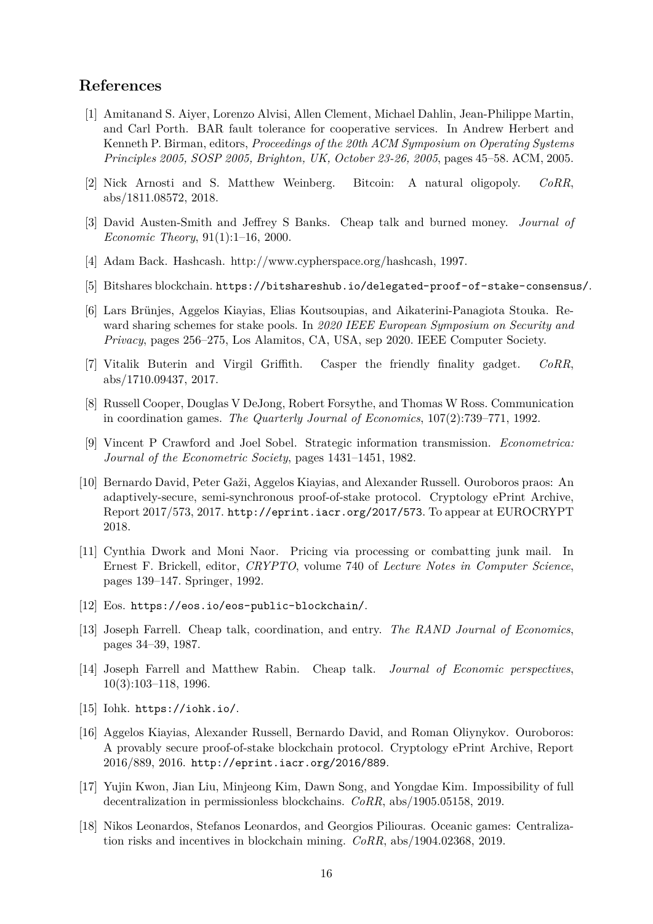# **References**

- [1] Amitanand S. Aiyer, Lorenzo Alvisi, Allen Clement, Michael Dahlin, Jean-Philippe Martin, and Carl Porth. BAR fault tolerance for cooperative services. In Andrew Herbert and Kenneth P. Birman, editors, *Proceedings of the 20th ACM Symposium on Operating Systems Principles 2005, SOSP 2005, Brighton, UK, October 23-26, 2005*, pages 45–58. ACM, 2005.
- <span id="page-15-12"></span>[2] Nick Arnosti and S. Matthew Weinberg. Bitcoin: A natural oligopoly. *CoRR*, abs/1811.08572, 2018.
- <span id="page-15-2"></span>[3] David Austen-Smith and Jeffrey S Banks. Cheap talk and burned money. *Journal of Economic Theory*, 91(1):1–16, 2000.
- <span id="page-15-14"></span>[4] Adam Back. Hashcash. http://www.cypherspace.org/hashcash, 1997.
- [5] Bitshares blockchain. https://bitshareshub.io/delegated-proof-of-stake-consensus/.
- <span id="page-15-9"></span><span id="page-15-5"></span>[6] Lars Brünjes, Aggelos Kiayias, Elias Koutsoupias, and Aikaterini-Panagiota Stouka. Reward sharing schemes for stake pools. In *2020 IEEE European Symposium on Security and Privacy*, pages 256–2[75, Los Alamitos, CA, USA, sep 2020. IEEE Computer Society.](https://bitshareshub.io/delegated-proof-of-stake-consensus/)
- <span id="page-15-0"></span>[7] Vitalik Buterin and Virgil Griffith. Casper the friendly finality gadget. *CoRR*, abs/1710.09437, 2017.
- <span id="page-15-8"></span>[8] Russell Cooper, Douglas V DeJong, Robert Forsythe, and Thomas W Ross. Communication in coordination games. *The Quarterly Journal of Economics*, 107(2):739–771, 1992.
- <span id="page-15-17"></span>[9] Vincent P Crawford and Joel Sobel. Strategic information transmission. *Econometrica: Journal of the Econometric Society*, pages 1431–1451, 1982.
- <span id="page-15-13"></span>[10] Bernardo David, Peter Gaži, Aggelos Kiayias, and Alexander Russell. Ouroboros praos: An adaptively-secure, semi-synchronous proof-of-stake protocol. Cryptology ePrint Archive, Report 2017/573, 2017. http://eprint.iacr.org/2017/573. To appear at EUROCRYPT 2018.
- <span id="page-15-7"></span>[11] Cynthia Dwork and Moni Naor. Pricing via processing or combatting junk mail. In Ernest F. Brickell, editor, *CRYPTO*[, volume 740 of](http://eprint.iacr.org/2017/573) *Lecture Notes in Computer Science*, pages 139–147. Springer, 1992.
- <span id="page-15-4"></span>[12] Eos. https://eos.io/eos-public-blockchain/.
- [13] Joseph Farrell. Cheap talk, coordination, and entry. *The RAND Journal of Economics*, pages 34–39, 1987.
- <span id="page-15-16"></span><span id="page-15-10"></span>[14] Jose[ph Farrell and Matthew Rabin. Cheap tal](https://eos.io/eos-public-blockchain/)k. *Journal of Economic perspectives*, 10(3):103–118, 1996.
- <span id="page-15-15"></span>[15] Iohk. https://iohk.io/.
- <span id="page-15-11"></span>[16] Aggelos Kiayias, Alexander Russell, Bernardo David, and Roman Oliynykov. Ouroboros: A provably secure proof-of-stake blockchain protocol. Cryptology ePrint Archive, Report 2016/[889, 2016.](https://iohk.io/) http://eprint.iacr.org/2016/889.
- <span id="page-15-6"></span>[17] Yujin Kwon, Jian Liu, Minjeong Kim, Dawn Song, and Yongdae Kim. Impossibility of full decentralization in permissionless blockchains. *CoRR*, abs/1905.05158, 2019.
- <span id="page-15-3"></span><span id="page-15-1"></span>[18] Nikos Leonardos[, Stefanos Leonardos, and Georgios Pi](http://eprint.iacr.org/2016/889)liouras. Oceanic games: Centralization risks and incentives in blockchain mining. *CoRR*, abs/1904.02368, 2019.